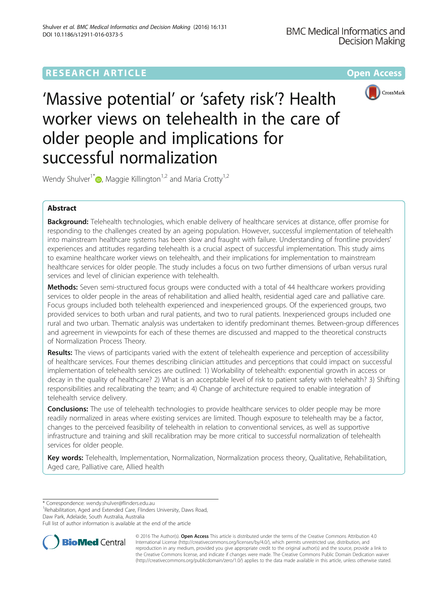# **RESEARCH ARTICLE Example 2014 12:30 The Company Access** (RESEARCH ARTICLE



# 'Massive potential' or 'safety risk'? Health worker views on telehealth in the care of older people and implications for successful normalization

Wendy Shulver<sup>1\*</sup>  $\bullet$ , Maggie Killington<sup>1,2</sup> and Maria Crotty<sup>1,2</sup>

## Abstract

**Background:** Telehealth technologies, which enable delivery of healthcare services at distance, offer promise for responding to the challenges created by an ageing population. However, successful implementation of telehealth into mainstream healthcare systems has been slow and fraught with failure. Understanding of frontline providers' experiences and attitudes regarding telehealth is a crucial aspect of successful implementation. This study aims to examine healthcare worker views on telehealth, and their implications for implementation to mainstream healthcare services for older people. The study includes a focus on two further dimensions of urban versus rural services and level of clinician experience with telehealth.

Methods: Seven semi-structured focus groups were conducted with a total of 44 healthcare workers providing services to older people in the areas of rehabilitation and allied health, residential aged care and palliative care. Focus groups included both telehealth experienced and inexperienced groups. Of the experienced groups, two provided services to both urban and rural patients, and two to rural patients. Inexperienced groups included one rural and two urban. Thematic analysis was undertaken to identify predominant themes. Between-group differences and agreement in viewpoints for each of these themes are discussed and mapped to the theoretical constructs of Normalization Process Theory.

Results: The views of participants varied with the extent of telehealth experience and perception of accessibility of healthcare services. Four themes describing clinician attitudes and perceptions that could impact on successful implementation of telehealth services are outlined: 1) Workability of telehealth: exponential growth in access or decay in the quality of healthcare? 2) What is an acceptable level of risk to patient safety with telehealth? 3) Shifting responsibilities and recalibrating the team; and 4) Change of architecture required to enable integration of telehealth service delivery.

**Conclusions:** The use of telehealth technologies to provide healthcare services to older people may be more readily normalized in areas where existing services are limited. Though exposure to telehealth may be a factor, changes to the perceived feasibility of telehealth in relation to conventional services, as well as supportive infrastructure and training and skill recalibration may be more critical to successful normalization of telehealth services for older people.

Key words: Telehealth, Implementation, Normalization, Normalization process theory, Qualitative, Rehabilitation, Aged care, Palliative care, Allied health

<sup>1</sup> Rehabilitation, Aged and Extended Care, Flinders University, Daws Road, Daw Park, Adelaide, South Australia, Australia

Full list of author information is available at the end of the article



© 2016 The Author(s). Open Access This article is distributed under the terms of the Creative Commons Attribution 4.0 International License [\(http://creativecommons.org/licenses/by/4.0/](http://creativecommons.org/licenses/by/4.0/)), which permits unrestricted use, distribution, and reproduction in any medium, provided you give appropriate credit to the original author(s) and the source, provide a link to the Creative Commons license, and indicate if changes were made. The Creative Commons Public Domain Dedication waiver [\(http://creativecommons.org/publicdomain/zero/1.0/](http://creativecommons.org/publicdomain/zero/1.0/)) applies to the data made available in this article, unless otherwise stated.

<sup>\*</sup> Correspondence: [wendy.shulver@flinders.edu.au](mailto:wendy.shulver@flinders.edu.au) <sup>1</sup>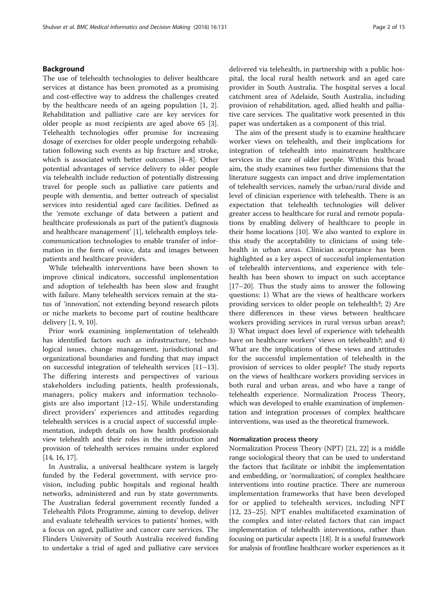## Background

The use of telehealth technologies to deliver healthcare services at distance has been promoted as a promising and cost-effective way to address the challenges created by the healthcare needs of an ageing population [\[1, 2](#page-13-0)]. Rehabilitation and palliative care are key services for older people as most recipients are aged above 65 [\[3](#page-13-0)]. Telehealth technologies offer promise for increasing dosage of exercises for older people undergoing rehabilitation following such events as hip fracture and stroke, which is associated with better outcomes [[4](#page-13-0)–[8](#page-13-0)]. Other potential advantages of service delivery to older people via telehealth include reduction of potentially distressing travel for people such as palliative care patients and people with dementia, and better outreach of specialist services into residential aged care facilities. Defined as the 'remote exchange of data between a patient and healthcare professionals as part of the patient's diagnosis and healthcare management' [\[1](#page-13-0)], telehealth employs telecommunication technologies to enable transfer of information in the form of voice, data and images between patients and healthcare providers.

While telehealth interventions have been shown to improve clinical indicators, successful implementation and adoption of telehealth has been slow and fraught with failure. Many telehealth services remain at the status of 'innovation', not extending beyond research pilots or niche markets to become part of routine healthcare delivery [[1](#page-13-0), [9](#page-13-0), [10](#page-13-0)].

Prior work examining implementation of telehealth has identified factors such as infrastructure, technological issues, change management, jurisdictional and organizational boundaries and funding that may impact on successful integration of telehealth services [[11](#page-13-0)–[13](#page-13-0)]. The differing interests and perspectives of various stakeholders including patients, health professionals, managers, policy makers and information technologists are also important [[12](#page-13-0)–[15\]](#page-13-0). While understanding direct providers' experiences and attitudes regarding telehealth services is a crucial aspect of successful implementation, indepth details on how health professionals view telehealth and their roles in the introduction and provision of telehealth services remains under explored [[14](#page-13-0), [16,](#page-13-0) [17](#page-14-0)].

In Australia, a universal healthcare system is largely funded by the Federal government, with service provision, including public hospitals and regional health networks, administered and run by state governments. The Australian federal government recently funded a Telehealth Pilots Programme, aiming to develop, deliver and evaluate telehealth services to patients' homes, with a focus on aged, palliative and cancer care services. The Flinders University of South Australia received funding to undertake a trial of aged and palliative care services delivered via telehealth, in partnership with a public hospital, the local rural health network and an aged care provider in South Australia. The hospital serves a local catchment area of Adelaide, South Australia, including provision of rehabilitation, aged, allied health and palliative care services. The qualitative work presented in this paper was undertaken as a component of this trial.

The aim of the present study is to examine healthcare worker views on telehealth, and their implications for integration of telehealth into mainstream healthcare services in the care of older people. Within this broad aim, the study examines two further dimensions that the literature suggests can impact and drive implementation of telehealth services, namely the urban/rural divide and level of clinician experience with telehealth. There is an expectation that telehealth technologies will deliver greater access to healthcare for rural and remote populations by enabling delivery of healthcare to people in their home locations [[10\]](#page-13-0). We also wanted to explore in this study the acceptability to clinicians of using telehealth in urban areas. Clinician acceptance has been highlighted as a key aspect of successful implementation of telehealth interventions, and experience with telehealth has been shown to impact on such acceptance [[17](#page-14-0)–[20](#page-14-0)]. Thus the study aims to answer the following questions: 1) What are the views of healthcare workers providing services to older people on telehealth?; 2) Are there differences in these views between healthcare workers providing services in rural versus urban areas?; 3) What impact does level of experience with telehealth have on healthcare workers' views on telehealth?; and 4) What are the implications of these views and attitudes for the successful implementation of telehealth in the provision of services to older people? The study reports on the views of healthcare workers providing services in both rural and urban areas, and who have a range of telehealth experience. Normalization Process Theory, which was developed to enable examination of implementation and integration processes of complex healthcare interventions, was used as the theoretical framework.

### Normalization process theory

Normalization Process Theory (NPT) [[21, 22\]](#page-14-0) is a middle range sociological theory that can be used to understand the factors that facilitate or inhibit the implementation and embedding, or 'normalization', of complex healthcare interventions into routine practice. There are numerous implementation frameworks that have been developed for or applied to telehealth services, including NPT [[12,](#page-13-0) [23](#page-14-0)–[25](#page-14-0)]. NPT enables multifaceted examination of the complex and inter-related factors that can impact implementation of telehealth interventions, rather than focusing on particular aspects [\[18](#page-14-0)]. It is a useful framework for analysis of frontline healthcare worker experiences as it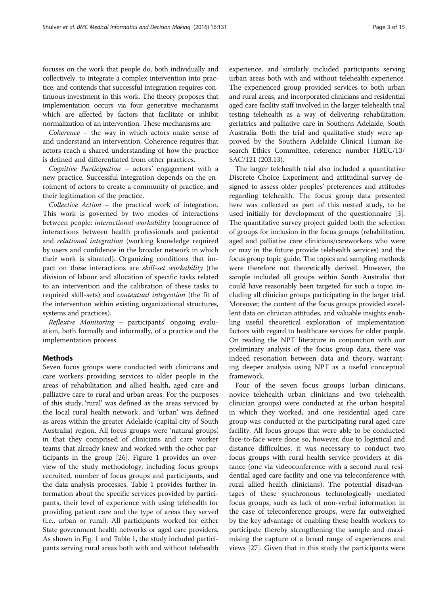focuses on the work that people do, both individually and collectively, to integrate a complex intervention into practice, and contends that successful integration requires continuous investment in this work. The theory proposes that implementation occurs via four generative mechanisms which are affected by factors that facilitate or inhibit normalization of an intervention. These mechanisms are:

Coherence – the way in which actors make sense of and understand an intervention. Coherence requires that actors reach a shared understanding of how the practice is defined and differentiated from other practices.

Cognitive Participation – actors' engagement with a new practice. Successful integration depends on the enrolment of actors to create a community of practice, and their legitimation of the practice.

Collective Action – the practical work of integration. This work is governed by two modes of interactions between people: interactional workability (congruence of interactions between health professionals and patients) and relational integration (working knowledge required by users and confidence in the broader network in which their work is situated). Organizing conditions that impact on these interactions are skill-set workability (the division of labour and allocation of specific tasks related to an intervention and the calibration of these tasks to required skill-sets) and contextual integration (the fit of the intervention within existing organizational structures, systems and practices).

Reflexive Monitoring – participants' ongoing evaluation, both formally and informally, of a practice and the implementation process.

## Methods

Seven focus groups were conducted with clinicians and care workers providing services to older people in the areas of rehabilitation and allied health, aged care and palliative care to rural and urban areas. For the purposes of this study, 'rural' was defined as the areas serviced by the local rural health network, and 'urban' was defined as areas within the greater Adelaide (capital city of South Australia) region. All focus groups were 'natural groups', in that they comprised of clinicians and care worker teams that already knew and worked with the other participants in the group [\[26](#page-14-0)]. Figure [1](#page-3-0) provides an overview of the study methodology, including focus groups recruited, number of focus groups and participants, and the data analysis processes. Table [1](#page-4-0) provides further information about the specific services provided by participants, their level of experience with using telehealth for providing patient care and the type of areas they served (i.e., urban or rural). All participants worked for either State government health networks or aged care providers. As shown in Fig. [1](#page-3-0) and Table [1](#page-4-0), the study included participants serving rural areas both with and without telehealth

experience, and similarly included participants serving urban areas both with and without telehealth experience. The experienced group provided services to both urban and rural areas, and incorporated clinicians and residential aged care facility staff involved in the larger telehealth trial testing telehealth as a way of delivering rehabilitation, geriatrics and palliative care in Southern Adelaide, South Australia. Both the trial and qualitative study were approved by the Southern Adelaide Clinical Human Research Ethics Committee, reference number HREC/13/ SAC/121 (203.13).

The larger telehealth trial also included a quantitative Discrete Choice Experiment and attitudinal survey designed to assess older peoples' preferences and attitudes regarding telehealth. The focus group data presented here was collected as part of this nested study, to be used initially for development of the questionnaire [\[3](#page-13-0)]. The quantitative survey project guided both the selection of groups for inclusion in the focus groups (rehabilitation, aged and palliative care clinicians/careworkers who were or may in the future provide telehealth services) and the focus group topic guide. The topics and sampling methods were therefore not theoretically derived. However, the sample included all groups within South Australia that could have reasonably been targeted for such a topic, including all clinician groups participating in the larger trial. Moreover, the content of the focus groups provided excellent data on clinician attitudes, and valuable insights enabling useful theoretical exploration of implementation factors with regard to healthcare services for older people. On reading the NPT literature in conjunction with our preliminary analysis of the focus group data, there was indeed resonation between data and theory, warranting deeper analysis using NPT as a useful conceptual framework.

Four of the seven focus groups (urban clinicians, novice telehealth urban clinicians and two telehealth clinician groups) were conducted at the urban hospital in which they worked, and one residential aged care group was conducted at the participating rural aged care facility. All focus groups that were able to be conducted face-to-face were done so, however, due to logistical and distance difficulties, it was necessary to conduct two focus groups with rural health service providers at distance (one via videoconference with a second rural residential aged care facility and one via teleconference with rural allied health clinicians). The potential disadvantages of these synchronous technologically mediated focus groups, such as lack of non-verbal information in the case of teleconference groups, were far outweighed by the key advantage of enabling these health workers to participate thereby strengthening the sample and maximising the capture of a broad range of experiences and views [\[27\]](#page-14-0). Given that in this study the participants were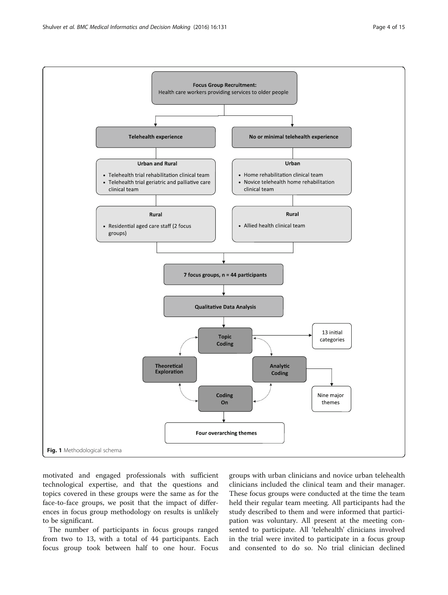<span id="page-3-0"></span>

motivated and engaged professionals with sufficient technological expertise, and that the questions and topics covered in these groups were the same as for the face-to-face groups, we posit that the impact of differences in focus group methodology on results is unlikely to be significant.

The number of participants in focus groups ranged from two to 13, with a total of 44 participants. Each focus group took between half to one hour. Focus

groups with urban clinicians and novice urban telehealth clinicians included the clinical team and their manager. These focus groups were conducted at the time the team held their regular team meeting. All participants had the study described to them and were informed that participation was voluntary. All present at the meeting consented to participate. All 'telehealth' clinicians involved in the trial were invited to participate in a focus group and consented to do so. No trial clinician declined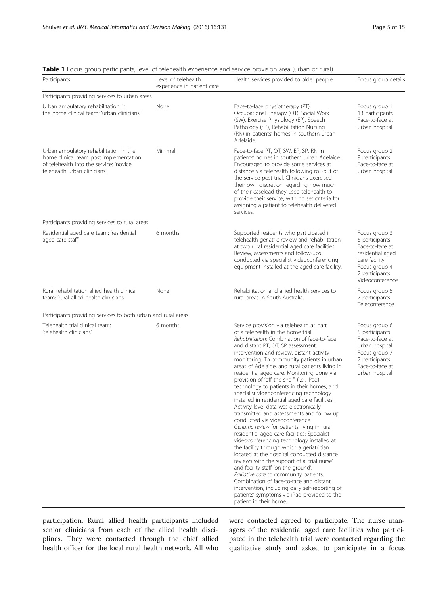<span id="page-4-0"></span>

|  |  |  |  |  | Table 1 Focus group participants, level of telehealth experience and service provision area (urban or rural) |  |  |  |  |  |
|--|--|--|--|--|--------------------------------------------------------------------------------------------------------------|--|--|--|--|--|
|--|--|--|--|--|--------------------------------------------------------------------------------------------------------------|--|--|--|--|--|

| Participants                                                                                                                                                | Level of telehealth<br>experience in patient care | Health services provided to older people                                                                                                                                                                                                                                                                                                                                                                                                                                                                                                                                                                                                                                                                                                                                                                                                                                                                                                                                                                                                                                                                                                                                                                                         | Focus group details                                                                                                                           |  |
|-------------------------------------------------------------------------------------------------------------------------------------------------------------|---------------------------------------------------|----------------------------------------------------------------------------------------------------------------------------------------------------------------------------------------------------------------------------------------------------------------------------------------------------------------------------------------------------------------------------------------------------------------------------------------------------------------------------------------------------------------------------------------------------------------------------------------------------------------------------------------------------------------------------------------------------------------------------------------------------------------------------------------------------------------------------------------------------------------------------------------------------------------------------------------------------------------------------------------------------------------------------------------------------------------------------------------------------------------------------------------------------------------------------------------------------------------------------------|-----------------------------------------------------------------------------------------------------------------------------------------------|--|
| Participants providing services to urban areas                                                                                                              |                                                   |                                                                                                                                                                                                                                                                                                                                                                                                                                                                                                                                                                                                                                                                                                                                                                                                                                                                                                                                                                                                                                                                                                                                                                                                                                  |                                                                                                                                               |  |
| Urban ambulatory rehabilitation in<br>the home clinical team: 'urban clinicians'                                                                            | None                                              | Face-to-face physiotherapy (PT),<br>Occupational Therapy (OT), Social Work<br>(SW), Exercise Physiology (EP), Speech<br>Pathology (SP), Rehabilitation Nursing<br>(RN) in patients' homes in southern urban<br>Adelaide.                                                                                                                                                                                                                                                                                                                                                                                                                                                                                                                                                                                                                                                                                                                                                                                                                                                                                                                                                                                                         | Focus group 1<br>13 participants<br>Face-to-face at<br>urban hospital                                                                         |  |
| Urban ambulatory rehabilitation in the<br>home clinical team post implementation<br>of telehealth into the service: 'novice<br>telehealth urban clinicians' | Minimal                                           | Face-to-face PT, OT, SW, EP, SP, RN in<br>patients' homes in southern urban Adelaide.<br>Encouraged to provide some services at<br>distance via telehealth following roll-out of<br>the service post-trial. Clinicians exercised<br>their own discretion regarding how much<br>of their caseload they used telehealth to<br>provide their service, with no set criteria for<br>assigning a patient to telehealth delivered<br>services.                                                                                                                                                                                                                                                                                                                                                                                                                                                                                                                                                                                                                                                                                                                                                                                          | Focus group 2<br>9 participants<br>Face-to-face at<br>urban hospital                                                                          |  |
| Participants providing services to rural areas                                                                                                              |                                                   |                                                                                                                                                                                                                                                                                                                                                                                                                                                                                                                                                                                                                                                                                                                                                                                                                                                                                                                                                                                                                                                                                                                                                                                                                                  |                                                                                                                                               |  |
| Residential aged care team: 'residential<br>aged care staff                                                                                                 | 6 months                                          | Supported residents who participated in<br>telehealth geriatric review and rehabilitation<br>at two rural residential aged care facilities.<br>Review, assessments and follow-ups<br>conducted via specialist videoconferencing<br>equipment installed at the aged care facility.                                                                                                                                                                                                                                                                                                                                                                                                                                                                                                                                                                                                                                                                                                                                                                                                                                                                                                                                                | Focus group 3<br>6 participants<br>Face-to-face at<br>residential aged<br>care facility<br>Focus group 4<br>2 participants<br>Videoconference |  |
| Rural rehabilitation allied health clinical<br>team: 'rural allied health clinicians'                                                                       | None                                              | Rehabilitation and allied health services to<br>rural areas in South Australia.                                                                                                                                                                                                                                                                                                                                                                                                                                                                                                                                                                                                                                                                                                                                                                                                                                                                                                                                                                                                                                                                                                                                                  | Focus group 5<br>7 participants<br>Teleconference                                                                                             |  |
| Participants providing services to both urban and rural areas                                                                                               |                                                   |                                                                                                                                                                                                                                                                                                                                                                                                                                                                                                                                                                                                                                                                                                                                                                                                                                                                                                                                                                                                                                                                                                                                                                                                                                  |                                                                                                                                               |  |
| Telehealth trial clinical team:<br>'telehealth clinicians'                                                                                                  | 6 months                                          | Service provision via telehealth as part<br>of a telehealth in the home trial:<br>Rehabilitation: Combination of face-to-face<br>and distant PT, OT, SP assessment,<br>intervention and review, distant activity<br>monitoring. To community patients in urban<br>areas of Adelaide, and rural patients living in<br>residential aged care. Monitoring done via<br>provision of 'off-the-shelf' (i.e., iPad)<br>technology to patients in their homes, and<br>specialist videoconferencing technology<br>installed in residential aged care facilities.<br>Activity level data was electronically<br>transmitted and assessments and follow up<br>conducted via videoconference.<br>Geriatric review for patients living in rural<br>residential aged care facilities: Specialist<br>videoconferencing technology installed at<br>the facility through which a geriatrician<br>located at the hospital conducted distance<br>reviews with the support of a 'trial nurse'<br>and facility staff 'on the ground'.<br>Palliative care to community patients:<br>Combination of face-to-face and distant<br>intervention, including daily self-reporting of<br>patients' symptoms via iPad provided to the<br>patient in their home. | Focus group 6<br>5 participants<br>Face-to-face at<br>urban hospital<br>Focus group 7<br>2 participants<br>Face-to-face at<br>urban hospital  |  |

participation. Rural allied health participants included senior clinicians from each of the allied health disciplines. They were contacted through the chief allied health officer for the local rural health network. All who

were contacted agreed to participate. The nurse managers of the residential aged care facilities who participated in the telehealth trial were contacted regarding the qualitative study and asked to participate in a focus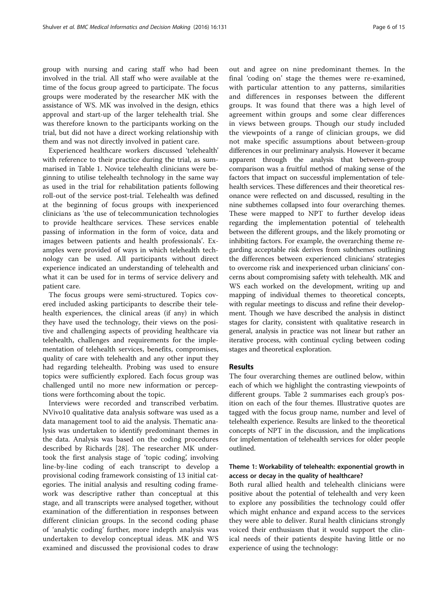group with nursing and caring staff who had been involved in the trial. All staff who were available at the time of the focus group agreed to participate. The focus groups were moderated by the researcher MK with the assistance of WS. MK was involved in the design, ethics approval and start-up of the larger telehealth trial. She was therefore known to the participants working on the trial, but did not have a direct working relationship with them and was not directly involved in patient care.

Experienced healthcare workers discussed 'telehealth' with reference to their practice during the trial, as summarised in Table [1.](#page-4-0) Novice telehealth clinicians were beginning to utilise telehealth technology in the same way as used in the trial for rehabilitation patients following roll-out of the service post-trial. Telehealth was defined at the beginning of focus groups with inexperienced clinicians as 'the use of telecommunication technologies to provide healthcare services. These services enable passing of information in the form of voice, data and images between patients and health professionals'. Examples were provided of ways in which telehealth technology can be used. All participants without direct experience indicated an understanding of telehealth and what it can be used for in terms of service delivery and patient care.

The focus groups were semi-structured. Topics covered included asking participants to describe their telehealth experiences, the clinical areas (if any) in which they have used the technology, their views on the positive and challenging aspects of providing healthcare via telehealth, challenges and requirements for the implementation of telehealth services, benefits, compromises, quality of care with telehealth and any other input they had regarding telehealth. Probing was used to ensure topics were sufficiently explored. Each focus group was challenged until no more new information or perceptions were forthcoming about the topic.

Interviews were recorded and transcribed verbatim. NVivo10 qualitative data analysis software was used as a data management tool to aid the analysis. Thematic analysis was undertaken to identify predominant themes in the data. Analysis was based on the coding procedures described by Richards [[28](#page-14-0)]. The researcher MK undertook the first analysis stage of 'topic coding', involving line-by-line coding of each transcript to develop a provisional coding framework consisting of 13 initial categories. The initial analysis and resulting coding framework was descriptive rather than conceptual at this stage, and all transcripts were analysed together, without examination of the differentiation in responses between different clinician groups. In the second coding phase of 'analytic coding' further, more indepth analysis was undertaken to develop conceptual ideas. MK and WS examined and discussed the provisional codes to draw

out and agree on nine predominant themes. In the final 'coding on' stage the themes were re-examined, with particular attention to any patterns, similarities and differences in responses between the different groups. It was found that there was a high level of agreement within groups and some clear differences in views between groups. Though our study included the viewpoints of a range of clinician groups, we did not make specific assumptions about between-group differences in our preliminary analysis. However it became apparent through the analysis that between-group comparison was a fruitful method of making sense of the factors that impact on successful implementation of telehealth services. These differences and their theoretical resonance were reflected on and discussed, resulting in the nine subthemes collapsed into four overarching themes. These were mapped to NPT to further develop ideas regarding the implementation potential of telehealth between the different groups, and the likely promoting or inhibiting factors. For example, the overarching theme regarding acceptable risk derives from subthemes outlining the differences between experienced clinicians' strategies to overcome risk and inexperienced urban clinicians' concerns about compromising safety with telehealth. MK and WS each worked on the development, writing up and mapping of individual themes to theoretical concepts, with regular meetings to discuss and refine their development. Though we have described the analysis in distinct stages for clarity, consistent with qualitative research in general, analysis in practice was not linear but rather an iterative process, with continual cycling between coding stages and theoretical exploration.

## Results

The four overarching themes are outlined below, within each of which we highlight the contrasting viewpoints of different groups. Table [2](#page-6-0) summarises each group's position on each of the four themes. Illustrative quotes are tagged with the focus group name, number and level of telehealth experience. Results are linked to the theoretical concepts of NPT in the discussion, and the implications for implementation of telehealth services for older people outlined.

## Theme 1: Workability of telehealth: exponential growth in access or decay in the quality of healthcare?

Both rural allied health and telehealth clinicians were positive about the potential of telehealth and very keen to explore any possibilities the technology could offer which might enhance and expand access to the services they were able to deliver. Rural health clinicians strongly voiced their enthusiasm that it would support the clinical needs of their patients despite having little or no experience of using the technology: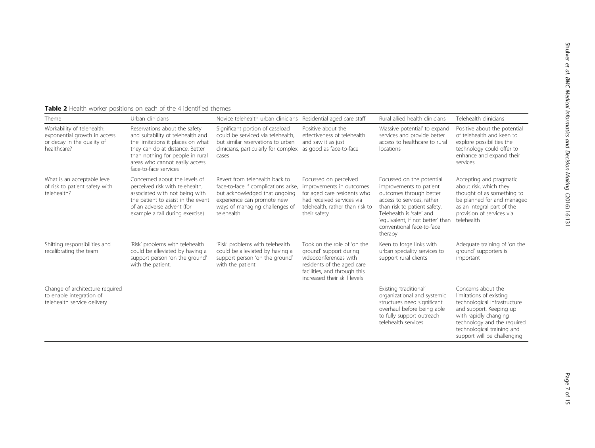| Theme                                                                                                   | Urban clinicians                                                                                                                                                                                                                          | Novice telehealth urban clinicians Residential aged care staff                                                                                                                        |                                                                                                                                                                              | Rural allied health clinicians                                                                                                                                                                                                                        | Telehealth clinicians                                                                                                                                                                                                         |
|---------------------------------------------------------------------------------------------------------|-------------------------------------------------------------------------------------------------------------------------------------------------------------------------------------------------------------------------------------------|---------------------------------------------------------------------------------------------------------------------------------------------------------------------------------------|------------------------------------------------------------------------------------------------------------------------------------------------------------------------------|-------------------------------------------------------------------------------------------------------------------------------------------------------------------------------------------------------------------------------------------------------|-------------------------------------------------------------------------------------------------------------------------------------------------------------------------------------------------------------------------------|
| Workability of telehealth:<br>exponential growth in access<br>or decay in the quality of<br>healthcare? | Reservations about the safety<br>and suitability of telehealth and<br>the limitations it places on what<br>they can do at distance. Better<br>than nothing for people in rural<br>areas who cannot easily access<br>face-to-face services | Significant portion of caseload<br>could be serviced via telehealth.<br>but similar reservations to urban<br>clinicians, particularly for complex<br>cases                            | Positive about the<br>effectiveness of telehealth<br>and saw it as just<br>as good as face-to-face                                                                           | 'Massive potential' to expand<br>services and provide better<br>access to healthcare to rural<br>locations                                                                                                                                            | Positive about the potential<br>of telehealth and keen to<br>explore possibilities the<br>technology could offer to<br>enhance and expand their<br>services                                                                   |
| What is an acceptable level<br>of risk to patient safety with<br>telehealth?                            | Concerned about the levels of<br>perceived risk with telehealth,<br>associated with not being with<br>the patient to assist in the event<br>of an adverse advent (for<br>example a fall during exercise)                                  | Revert from telehealth back to<br>face-to-face if complications arise,<br>but acknowledged that ongoing<br>experience can promote new<br>ways of managing challenges of<br>telehealth | Focussed on perceived<br>improvements in outcomes<br>for aged care residents who<br>had received services via<br>telehealth, rather than risk to<br>their safety             | Focussed on the potential<br>improvements to patient<br>outcomes through better<br>access to services, rather<br>than risk to patient safety.<br>Telehealth is 'safe' and<br>'equivalent, if not better' than<br>conventional face-to-face<br>therapy | Accepting and pragmatic<br>about risk, which they<br>thought of as something to<br>be planned for and managed<br>as an integral part of the<br>provision of services via<br>telehealth                                        |
| Shifting responsibilities and<br>recalibrating the team                                                 | 'Risk' problems with telehealth<br>could be alleviated by having a<br>support person 'on the ground'<br>with the patient.                                                                                                                 | 'Risk' problems with telehealth<br>could be alleviated by having a<br>support person 'on the ground'<br>with the patient                                                              | Took on the role of 'on the<br>ground' support during<br>videoconferences with<br>residents of the aged care<br>facilities, and through this<br>increased their skill levels | Keen to forge links with<br>urban speciality services to<br>support rural clients                                                                                                                                                                     | Adequate training of 'on the<br>ground' supporters is<br>important                                                                                                                                                            |
| Change of architecture required<br>to enable integration of<br>telehealth service delivery              |                                                                                                                                                                                                                                           |                                                                                                                                                                                       |                                                                                                                                                                              | Existing 'traditional'<br>organizational and systemic<br>structures need significant<br>overhaul before being able<br>to fully support outreach<br>telehealth services                                                                                | Concerns about the<br>limitations of existing<br>technological infrastructure<br>and support. Keeping up<br>with rapidly changing<br>technology and the required<br>technological training and<br>support will be challenging |

# <span id="page-6-0"></span>Table 2 Health worker positions on each of the 4 identified themes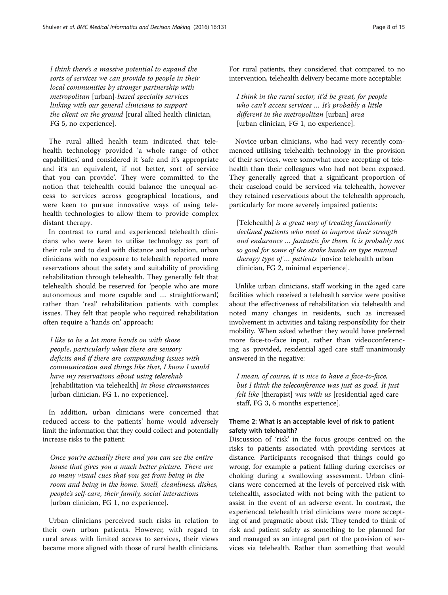I think there's a massive potential to expand the sorts of services we can provide to people in their local communities by stronger partnership with metropolitan [urban]-based specialty services linking with our general clinicians to support the client on the ground [rural allied health clinician, FG 5, no experience].

The rural allied health team indicated that telehealth technology provided 'a whole range of other capabilities', and considered it 'safe and it's appropriate and it's an equivalent, if not better, sort of service that you can provide'. They were committed to the notion that telehealth could balance the unequal access to services across geographical locations, and were keen to pursue innovative ways of using telehealth technologies to allow them to provide complex distant therapy.

In contrast to rural and experienced telehealth clinicians who were keen to utilise technology as part of their role and to deal with distance and isolation, urban clinicians with no exposure to telehealth reported more reservations about the safety and suitability of providing rehabilitation through telehealth. They generally felt that telehealth should be reserved for 'people who are more autonomous and more capable and … straightforward', rather than 'real' rehabilitation patients with complex issues. They felt that people who required rehabilitation often require a 'hands on' approach:

I like to be a lot more hands on with those people, particularly when there are sensory deficits and if there are compounding issues with communication and things like that, I know I would have my reservations about using telerehab [rehabilitation via telehealth] in those circumstances [urban clinician, FG 1, no experience].

In addition, urban clinicians were concerned that reduced access to the patients' home would adversely limit the information that they could collect and potentially increase risks to the patient:

Once you're actually there and you can see the entire house that gives you a much better picture. There are so many visual cues that you get from being in the room and being in the home. Smell, cleanliness, dishes, people's self-care, their family, social interactions [urban clinician, FG 1, no experience].

Urban clinicians perceived such risks in relation to their own urban patients. However, with regard to rural areas with limited access to services, their views became more aligned with those of rural health clinicians. For rural patients, they considered that compared to no intervention, telehealth delivery became more acceptable:

I think in the rural sector, it'd be great, for people who can't access services ... It's probably a little different in the metropolitan [urban] area [urban clinician, FG 1, no experience].

Novice urban clinicians, who had very recently commenced utilising telehealth technology in the provision of their services, were somewhat more accepting of telehealth than their colleagues who had not been exposed. They generally agreed that a significant proportion of their caseload could be serviced via telehealth, however they retained reservations about the telehealth approach, particularly for more severely impaired patients:

[Telehealth] is a great way of treating functionally declined patients who need to improve their strength and endurance … fantastic for them. It is probably not so good for some of the stroke hands on type manual therapy type of … patients [novice telehealth urban clinician, FG 2, minimal experience].

Unlike urban clinicians, staff working in the aged care facilities which received a telehealth service were positive about the effectiveness of rehabilitation via telehealth and noted many changes in residents, such as increased involvement in activities and taking responsibility for their mobility. When asked whether they would have preferred more face-to-face input, rather than videoconferencing as provided, residential aged care staff unanimously answered in the negative:

I mean, of course, it is nice to have a face-to-face, but I think the teleconference was just as good. It just felt like [therapist] was with us [residential aged care] staff, FG 3, 6 months experience].

## Theme 2: What is an acceptable level of risk to patient safety with telehealth?

Discussion of 'risk' in the focus groups centred on the risks to patients associated with providing services at distance. Participants recognised that things could go wrong, for example a patient falling during exercises or choking during a swallowing assessment. Urban clinicians were concerned at the levels of perceived risk with telehealth, associated with not being with the patient to assist in the event of an adverse event. In contrast, the experienced telehealth trial clinicians were more accepting of and pragmatic about risk. They tended to think of risk and patient safety as something to be planned for and managed as an integral part of the provision of services via telehealth. Rather than something that would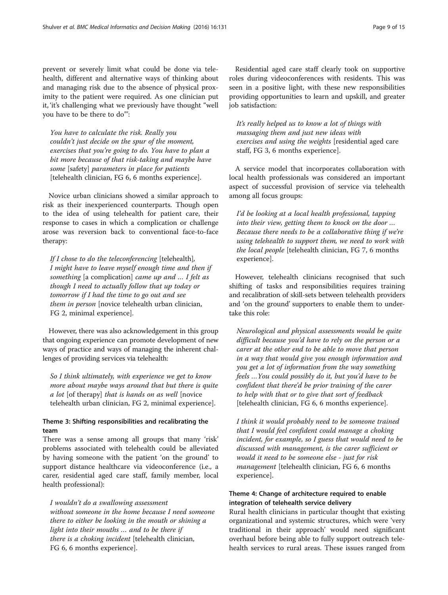prevent or severely limit what could be done via telehealth, different and alternative ways of thinking about and managing risk due to the absence of physical proximity to the patient were required. As one clinician put it, 'it's challenging what we previously have thought "well you have to be there to do"':

You have to calculate the risk. Really you couldn't just decide on the spur of the moment, exercises that you're going to do. You have to plan a bit more because of that risk-taking and maybe have some [safety] parameters in place for patients [telehealth clinician, FG 6, 6 months experience].

Novice urban clinicians showed a similar approach to risk as their inexperienced counterparts. Though open to the idea of using telehealth for patient care, their response to cases in which a complication or challenge arose was reversion back to conventional face-to-face therapy:

If I chose to do the teleconferencing [telehealth], I might have to leave myself enough time and then if something [a complication] came up and ... I felt as though I need to actually follow that up today or tomorrow if I had the time to go out and see them in person [novice telehealth urban clinician, FG 2, minimal experience].

However, there was also acknowledgement in this group that ongoing experience can promote development of new ways of practice and ways of managing the inherent challenges of providing services via telehealth:

So I think ultimately, with experience we get to know more about maybe ways around that but there is quite a lot [of therapy] that is hands on as well [novice telehealth urban clinician, FG 2, minimal experience].

## Theme 3: Shifting responsibilities and recalibrating the team

There was a sense among all groups that many 'risk' problems associated with telehealth could be alleviated by having someone with the patient 'on the ground' to support distance healthcare via videoconference (i.e., a carer, residential aged care staff, family member, local health professional):

I wouldn't do a swallowing assessment without someone in the home because I need someone there to either be looking in the mouth or shining a light into their mouths … and to be there if there is a choking incident [telehealth clinician, FG 6, 6 months experience].

Residential aged care staff clearly took on supportive roles during videoconferences with residents. This was seen in a positive light, with these new responsibilities providing opportunities to learn and upskill, and greater job satisfaction:

It's really helped us to know a lot of things with massaging them and just new ideas with exercises and using the weights [residential aged care staff, FG 3, 6 months experience].

A service model that incorporates collaboration with local health professionals was considered an important aspect of successful provision of service via telehealth among all focus groups:

I'd be looking at a local health professional, tapping into their view, getting them to knock on the door … Because there needs to be a collaborative thing if we're using telehealth to support them, we need to work with the local people [telehealth clinician, FG 7, 6 months experience].

However, telehealth clinicians recognised that such shifting of tasks and responsibilities requires training and recalibration of skill-sets between telehealth providers and 'on the ground' supporters to enable them to undertake this role:

Neurological and physical assessments would be quite difficult because you'd have to rely on the person or a carer at the other end to be able to move that person in a way that would give you enough information and you get a lot of information from the way something feels …You could possibly do it, but you'd have to be confident that there'd be prior training of the carer to help with that or to give that sort of feedback [telehealth clinician, FG 6, 6 months experience].

I think it would probably need to be someone trained that I would feel confident could manage a choking incident, for example, so I guess that would need to be discussed with management, is the carer sufficient or would it need to be someone else - just for risk management [telehealth clinician, FG 6, 6 months experience].

## Theme 4: Change of architecture required to enable integration of telehealth service delivery

Rural health clinicians in particular thought that existing organizational and systemic structures, which were 'very traditional in their approach' would need significant overhaul before being able to fully support outreach telehealth services to rural areas. These issues ranged from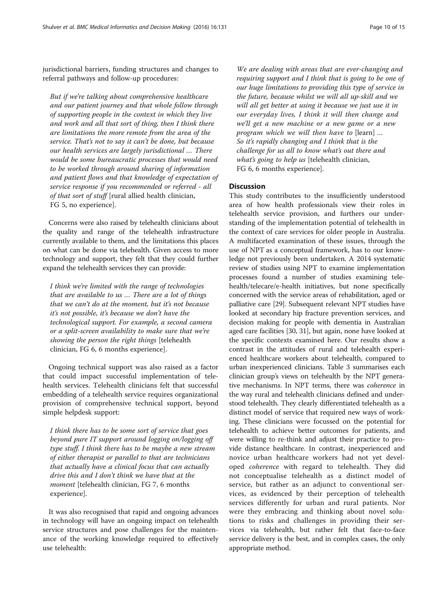jurisdictional barriers, funding structures and changes to referral pathways and follow-up procedures:

But if we're talking about comprehensive healthcare and our patient journey and that whole follow through of supporting people in the context in which they live and work and all that sort of thing, then I think there are limitations the more remote from the area of the service. That's not to say it can't be done, but because our health services are largely jurisdictional … There would be some bureaucratic processes that would need to be worked through around sharing of information and patient flows and that knowledge of expectation of service response if you recommended or referred - all of that sort of stuff [rural allied health clinician, FG 5, no experience].

Concerns were also raised by telehealth clinicians about the quality and range of the telehealth infrastructure currently available to them, and the limitations this places on what can be done via telehealth. Given access to more technology and support, they felt that they could further expand the telehealth services they can provide:

I think we're limited with the range of technologies that are available to us … There are a lot of things that we can't do at the moment, but it's not because it's not possible, it's because we don't have the technological support. For example, a second camera or a split-screen availability to make sure that we're showing the person the right things [telehealth clinician, FG 6, 6 months experience].

Ongoing technical support was also raised as a factor that could impact successful implementation of telehealth services. Telehealth clinicians felt that successful embedding of a telehealth service requires organizational provision of comprehensive technical support, beyond simple helpdesk support:

I think there has to be some sort of service that goes beyond pure IT support around logging on/logging off type stuff. I think there has to be maybe a new stream of either therapist or parallel to that are technicians that actually have a clinical focus that can actually drive this and I don't think we have that at the moment [telehealth clinician, FG 7, 6 months experience].

It was also recognised that rapid and ongoing advances in technology will have an ongoing impact on telehealth service structures and pose challenges for the maintenance of the working knowledge required to effectively use telehealth:

We are dealing with areas that are ever-changing and requiring support and I think that is going to be one of our huge limitations to providing this type of service in the future, because whilst we will all up-skill and we will all get better at using it because we just use it in our everyday lives, I think it will then change and we'll get a new machine or a new game or a new program which we will then have to [learn] … So it's rapidly changing and I think that is the challenge for us all to know what's out there and what's going to help us [telehealth clinician, FG 6, 6 months experience].

## **Discussion**

This study contributes to the insufficiently understood area of how health professionals view their roles in telehealth service provision, and furthers our understanding of the implementation potential of telehealth in the context of care services for older people in Australia. A multifaceted examination of these issues, through the use of NPT as a conceptual framework, has to our knowledge not previously been undertaken. A 2014 systematic review of studies using NPT to examine implementation processes found a number of studies examining telehealth/telecare/e-health initiatives, but none specifically concerned with the service areas of rehabilitation, aged or palliative care [\[29\]](#page-14-0). Subsequent relevant NPT studies have looked at secondary hip fracture prevention services, and decision making for people with dementia in Australian aged care facilities [\[30](#page-14-0), [31\]](#page-14-0), but again, none have looked at the specific contexts examined here. Our results show a contrast in the attitudes of rural and telehealth experienced healthcare workers about telehealth, compared to urban inexperienced clinicians. Table [3](#page-10-0) summarises each clinician group's views on telehealth by the NPT generative mechanisms. In NPT terms, there was coherence in the way rural and telehealth clinicians defined and understood telehealth. They clearly differentiated telehealth as a distinct model of service that required new ways of working. These clinicians were focussed on the potential for telehealth to achieve better outcomes for patients, and were willing to re-think and adjust their practice to provide distance healthcare. In contrast, inexperienced and novice urban healthcare workers had not yet developed coherence with regard to telehealth. They did not conceptualise telehealth as a distinct model of service, but rather as an adjunct to conventional services, as evidenced by their perception of telehealth services differently for urban and rural patients. Nor were they embracing and thinking about novel solutions to risks and challenges in providing their services via telehealth, but rather felt that face-to-face service delivery is the best, and in complex cases, the only appropriate method.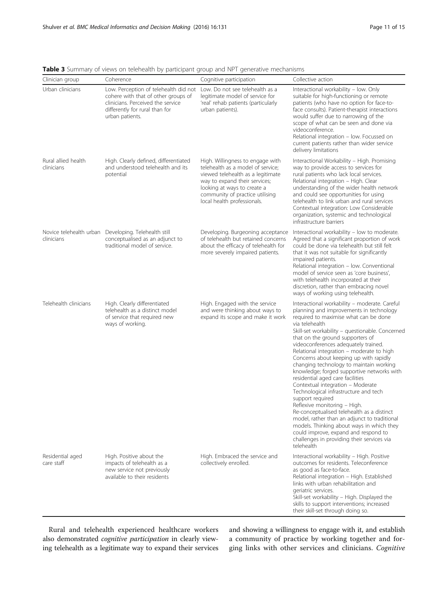| Clinician group                   | Coherence                                                                                                                                                              | Cognitive participation                                                                                                                                                                                                                      | Collective action                                                                                                                                                                                                                                                                                                                                                                                                                                                                                                                                                                                                                                                                                                                                                                                                                                                                       |
|-----------------------------------|------------------------------------------------------------------------------------------------------------------------------------------------------------------------|----------------------------------------------------------------------------------------------------------------------------------------------------------------------------------------------------------------------------------------------|-----------------------------------------------------------------------------------------------------------------------------------------------------------------------------------------------------------------------------------------------------------------------------------------------------------------------------------------------------------------------------------------------------------------------------------------------------------------------------------------------------------------------------------------------------------------------------------------------------------------------------------------------------------------------------------------------------------------------------------------------------------------------------------------------------------------------------------------------------------------------------------------|
| Urban clinicians                  | Low. Perception of telehealth did not<br>cohere with that of other groups of<br>clinicians. Perceived the service<br>differently for rural than for<br>urban patients. | Low. Do not see telehealth as a<br>legitimate model of service for<br>'real' rehab patients (particularly<br>urban patients).                                                                                                                | Interactional workability - low. Only<br>suitable for high-functioning or remote<br>patients (who have no option for face-to-<br>face consults). Patient-therapist interactions<br>would suffer due to narrowing of the<br>scope of what can be seen and done via<br>videoconference.<br>Relational integration - low. Focussed on<br>current patients rather than wider service<br>delivery limitations                                                                                                                                                                                                                                                                                                                                                                                                                                                                                |
| Rural allied health<br>clinicians | High. Clearly defined, differentiated<br>and understood telehealth and its<br>potential                                                                                | High. Willingness to engage with<br>telehealth as a model of service;<br>viewed telehealth as a legitimate<br>way to expand their services;<br>looking at ways to create a<br>community of practice utilising<br>local health professionals. | Interactional Workability - High. Promising<br>way to provide access to services for<br>rural patients who lack local services.<br>Relational integration - High. Clear<br>understanding of the wider health network<br>and could see opportunities for using<br>telehealth to link urban and rural services<br>Contextual integration: Low Considerable<br>organization, systemic and technological<br>infrastructure barriers                                                                                                                                                                                                                                                                                                                                                                                                                                                         |
| clinicians                        | Novice telehealth urban Developing. Telehealth still<br>conceptualised as an adjunct to<br>traditional model of service.                                               | Developing. Burgeoning acceptance<br>of telehealth but retained concerns<br>about the efficacy of telehealth for<br>more severely impaired patients.                                                                                         | Interactional workability - low to moderate.<br>Agreed that a significant proportion of work<br>could be done via telehealth but still felt<br>that it was not suitable for significantly<br>impaired patients.<br>Relational integration - low. Conventional<br>model of service seen as 'core business',<br>with telehealth incorporated at their<br>discretion, rather than embracing novel<br>ways of working using telehealth.                                                                                                                                                                                                                                                                                                                                                                                                                                                     |
| Telehealth clinicians             | High. Clearly differentiated<br>telehealth as a distinct model<br>of service that required new<br>ways of working.                                                     | High. Engaged with the service<br>and were thinking about ways to<br>expand its scope and make it work                                                                                                                                       | Interactional workability - moderate. Careful<br>planning and improvements in technology<br>required to maximise what can be done<br>via telehealth<br>Skill-set workability - questionable. Concerned<br>that on the ground supporters of<br>videoconferences adequately trained.<br>Relational integration - moderate to high<br>Concerns about keeping up with rapidly<br>changing technology to maintain working<br>knowledge; forged supportive networks with<br>residential aged care facilities<br>Contextual integration - Moderate<br>Technological infrastructure and tech<br>support required<br>Reflexive monitoring - High.<br>Re-conceptualised telehealth as a distinct<br>model, rather than an adjunct to traditional<br>models. Thinking about ways in which they<br>could improve, expand and respond to<br>challenges in providing their services via<br>telehealth |
| Residential aged<br>care staff    | High. Positive about the<br>impacts of telehealth as a<br>new service not previously<br>available to their residents                                                   | High. Embraced the service and<br>collectively enrolled.                                                                                                                                                                                     | Interactional workability - High. Positive<br>outcomes for residents. Teleconference<br>as good as face-to-face.<br>Relational integration - High. Established<br>links with urban rehabilitation and<br>geriatric services.<br>Skill-set workability - High. Displayed the<br>skills to support interventions; increased<br>their skill-set through doing so.                                                                                                                                                                                                                                                                                                                                                                                                                                                                                                                          |

<span id="page-10-0"></span>Table 3 Summary of views on telehealth by participant group and NPT generative mechanisms

Rural and telehealth experienced healthcare workers also demonstrated cognitive participation in clearly viewing telehealth as a legitimate way to expand their services and showing a willingness to engage with it, and establish a community of practice by working together and forging links with other services and clinicians. Cognitive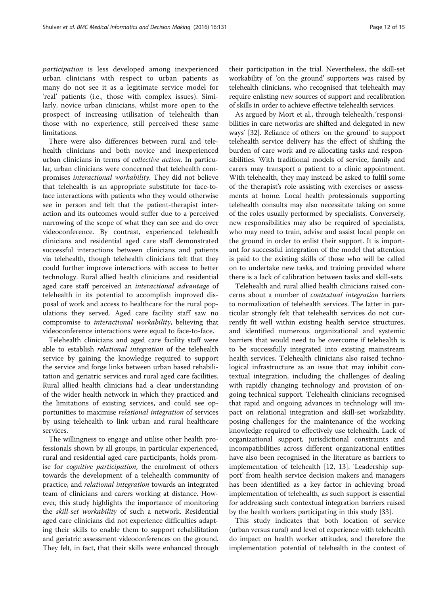participation is less developed among inexperienced urban clinicians with respect to urban patients as many do not see it as a legitimate service model for 'real' patients (i.e., those with complex issues). Similarly, novice urban clinicians, whilst more open to the prospect of increasing utilisation of telehealth than those with no experience, still perceived these same limitations.

There were also differences between rural and telehealth clinicians and both novice and inexperienced urban clinicians in terms of collective action. In particular, urban clinicians were concerned that telehealth compromises interactional workability. They did not believe that telehealth is an appropriate substitute for face-toface interactions with patients who they would otherwise see in person and felt that the patient-therapist interaction and its outcomes would suffer due to a perceived narrowing of the scope of what they can see and do over videoconference. By contrast, experienced telehealth clinicians and residential aged care staff demonstrated successful interactions between clinicians and patients via telehealth, though telehealth clinicians felt that they could further improve interactions with access to better technology. Rural allied health clinicians and residential aged care staff perceived an interactional advantage of telehealth in its potential to accomplish improved disposal of work and access to healthcare for the rural populations they served. Aged care facility staff saw no compromise to interactional workability, believing that videoconference interactions were equal to face-to-face.

Telehealth clinicians and aged care facility staff were able to establish relational integration of the telehealth service by gaining the knowledge required to support the service and forge links between urban based rehabilitation and geriatric services and rural aged care facilities. Rural allied health clinicians had a clear understanding of the wider health network in which they practiced and the limitations of existing services, and could see opportunities to maximise relational integration of services by using telehealth to link urban and rural healthcare services.

The willingness to engage and utilise other health professionals shown by all groups, in particular experienced, rural and residential aged care participants, holds promise for cognitive participation, the enrolment of others towards the development of a telehealth community of practice, and relational integration towards an integrated team of clinicians and carers working at distance. However, this study highlights the importance of monitoring the skill-set workability of such a network. Residential aged care clinicians did not experience difficulties adapting their skills to enable them to support rehabilitation and geriatric assessment videoconferences on the ground. They felt, in fact, that their skills were enhanced through their participation in the trial. Nevertheless, the skill-set workability of 'on the ground' supporters was raised by telehealth clinicians, who recognised that telehealth may require enlisting new sources of support and recalibration of skills in order to achieve effective telehealth services.

As argued by Mort et al., through telehealth, 'responsibilities in care networks are shifted and delegated in new ways' [[32](#page-14-0)]. Reliance of others 'on the ground' to support telehealth service delivery has the effect of shifting the burden of care work and re-allocating tasks and responsibilities. With traditional models of service, family and carers may transport a patient to a clinic appointment. With telehealth, they may instead be asked to fulfil some of the therapist's role assisting with exercises or assessments at home. Local health professionals supporting telehealth consults may also necessitate taking on some of the roles usually performed by specialists. Conversely, new responsibilities may also be required of specialists, who may need to train, advise and assist local people on the ground in order to enlist their support. It is important for successful integration of the model that attention is paid to the existing skills of those who will be called on to undertake new tasks, and training provided where there is a lack of calibration between tasks and skill-sets.

Telehealth and rural allied health clinicians raised concerns about a number of contextual integration barriers to normalization of telehealth services. The latter in particular strongly felt that telehealth services do not currently fit well within existing health service structures, and identified numerous organizational and systemic barriers that would need to be overcome if telehealth is to be successfully integrated into existing mainstream health services. Telehealth clinicians also raised technological infrastructure as an issue that may inhibit contextual integration, including the challenges of dealing with rapidly changing technology and provision of ongoing technical support. Telehealth clinicians recognised that rapid and ongoing advances in technology will impact on relational integration and skill-set workability, posing challenges for the maintenance of the working knowledge required to effectively use telehealth. Lack of organizational support, jurisdictional constraints and incompatibilities across different organizational entities have also been recognised in the literature as barriers to implementation of telehealth [[12, 13](#page-13-0)]. 'Leadership support' from health service decision makers and managers has been identified as a key factor in achieving broad implementation of telehealth, as such support is essential for addressing such contextual integration barriers raised by the health workers participating in this study [[33](#page-14-0)].

This study indicates that both location of service (urban versus rural) and level of experience with telehealth do impact on health worker attitudes, and therefore the implementation potential of telehealth in the context of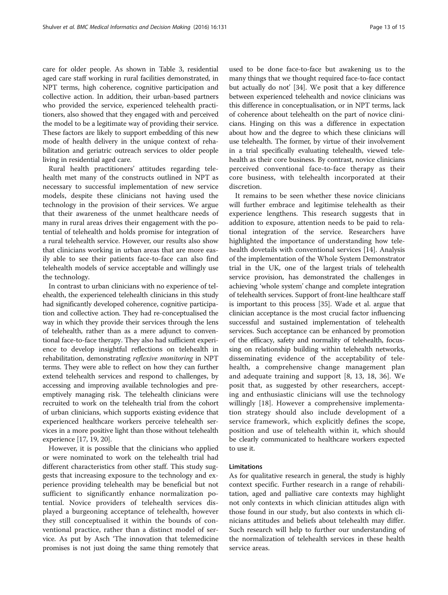care for older people. As shown in Table [3](#page-10-0), residential aged care staff working in rural facilities demonstrated, in NPT terms, high coherence, cognitive participation and collective action. In addition, their urban-based partners who provided the service, experienced telehealth practitioners, also showed that they engaged with and perceived the model to be a legitimate way of providing their service. These factors are likely to support embedding of this new mode of health delivery in the unique context of rehabilitation and geriatric outreach services to older people living in residential aged care.

Rural health practitioners' attitudes regarding telehealth met many of the constructs outlined in NPT as necessary to successful implementation of new service models, despite these clinicians not having used the technology in the provision of their services. We argue that their awareness of the unmet healthcare needs of many in rural areas drives their engagement with the potential of telehealth and holds promise for integration of a rural telehealth service. However, our results also show that clinicians working in urban areas that are more easily able to see their patients face-to-face can also find telehealth models of service acceptable and willingly use the technology.

In contrast to urban clinicians with no experience of telehealth, the experienced telehealth clinicians in this study had significantly developed coherence, cognitive participation and collective action. They had re-conceptualised the way in which they provide their services through the lens of telehealth, rather than as a mere adjunct to conventional face-to-face therapy. They also had sufficient experience to develop insightful reflections on telehealth in rehabilitation, demonstrating reflexive monitoring in NPT terms. They were able to reflect on how they can further extend telehealth services and respond to challenges, by accessing and improving available technologies and preemptively managing risk. The telehealth clinicians were recruited to work on the telehealth trial from the cohort of urban clinicians, which supports existing evidence that experienced healthcare workers perceive telehealth services in a more positive light than those without telehealth experience [\[17, 19](#page-14-0), [20](#page-14-0)].

However, it is possible that the clinicians who applied or were nominated to work on the telehealth trial had different characteristics from other staff. This study suggests that increasing exposure to the technology and experience providing telehealth may be beneficial but not sufficient to significantly enhance normalization potential. Novice providers of telehealth services displayed a burgeoning acceptance of telehealth, however they still conceptualised it within the bounds of conventional practice, rather than a distinct model of service. As put by Asch 'The innovation that telemedicine promises is not just doing the same thing remotely that

used to be done face-to-face but awakening us to the many things that we thought required face-to-face contact but actually do not' [\[34\]](#page-14-0). We posit that a key difference between experienced telehealth and novice clinicians was this difference in conceptualisation, or in NPT terms, lack of coherence about telehealth on the part of novice clinicians. Hinging on this was a difference in expectation about how and the degree to which these clinicians will use telehealth. The former, by virtue of their involvement in a trial specifically evaluating telehealth, viewed telehealth as their core business. By contrast, novice clinicians perceived conventional face-to-face therapy as their core business, with telehealth incorporated at their discretion.

It remains to be seen whether these novice clinicians will further embrace and legitimise telehealth as their experience lengthens. This research suggests that in addition to exposure, attention needs to be paid to relational integration of the service. Researchers have highlighted the importance of understanding how telehealth dovetails with conventional services [\[14](#page-13-0)]. Analysis of the implementation of the Whole System Demonstrator trial in the UK, one of the largest trials of telehealth service provision, has demonstrated the challenges in achieving 'whole system' change and complete integration of telehealth services. Support of front-line healthcare staff is important to this process [\[35\]](#page-14-0). Wade et al. argue that clinician acceptance is the most crucial factor influencing successful and sustained implementation of telehealth services. Such acceptance can be enhanced by promotion of the efficacy, safety and normality of telehealth, focussing on relationship building within telehealth networks, disseminating evidence of the acceptability of telehealth, a comprehensive change management plan and adequate training and support [[8, 13](#page-13-0), [18](#page-14-0), [36\]](#page-14-0). We posit that, as suggested by other researchers, accepting and enthusiastic clinicians will use the technology willingly [[18\]](#page-14-0). However a comprehensive implementation strategy should also include development of a service framework, which explicitly defines the scope, position and use of telehealth within it, which should be clearly communicated to healthcare workers expected to use it.

### Limitations

As for qualitative research in general, the study is highly context specific. Further research in a range of rehabilitation, aged and palliative care contexts may highlight not only contexts in which clinician attitudes align with those found in our study, but also contexts in which clinicians attitudes and beliefs about telehealth may differ. Such research will help to further our understanding of the normalization of telehealth services in these health service areas.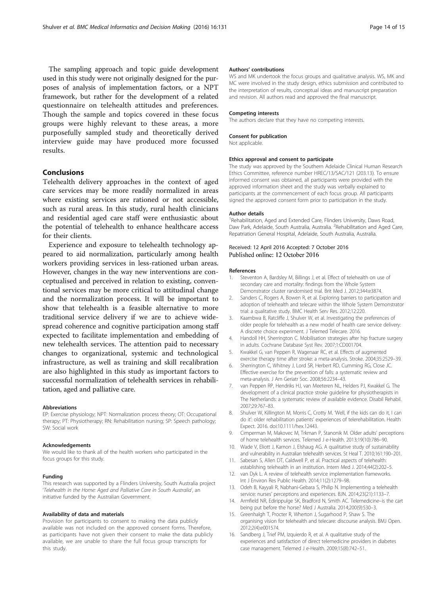<span id="page-13-0"></span>The sampling approach and topic guide development used in this study were not originally designed for the purposes of analysis of implementation factors, or a NPT framework, but rather for the development of a related questionnaire on telehealth attitudes and preferences. Though the sample and topics covered in these focus groups were highly relevant to these areas, a more purposefully sampled study and theoretically derived interview guide may have produced more focussed results.

## Conclusions

Telehealth delivery approaches in the context of aged care services may be more readily normalized in areas where existing services are rationed or not accessible, such as rural areas. In this study, rural health clinicians and residential aged care staff were enthusiastic about the potential of telehealth to enhance healthcare access for their clients.

Experience and exposure to telehealth technology appeared to aid normalization, particularly among health workers providing services in less-rationed urban areas. However, changes in the way new interventions are conceptualised and perceived in relation to existing, conventional services may be more critical to attitudinal change and the normalization process. It will be important to show that telehealth is a feasible alternative to more traditional service delivery if we are to achieve widespread coherence and cognitive participation among staff expected to facilitate implementation and embedding of new telehealth services. The attention paid to necessary changes to organizational, systemic and technological infrastructure, as well as training and skill recalibration are also highlighted in this study as important factors to successful normalization of telehealth services in rehabilitation, aged and palliative care.

#### Abbreviations

EP: Exercise physiology; NPT: Normalization process theory; OT: Occupational therapy; PT: Physiotherapy; RN: Rehabilitation nursing; SP: Speech pathology; SW: Social work

#### Acknowledgements

We would like to thank all of the health workers who participated in the focus groups for this study.

#### Funding

This research was supported by a Flinders University, South Australia project 'Telehealth in the Home: Aged and Palliative Care in South Australia', an initiative funded by the Australian Government.

#### Availability of data and materials

Provision for participants to consent to making the data publicly available was not included on the approved consent forms. Therefore, as participants have not given their consent to make the data publicly available, we are unable to share the full focus group transcripts for this study.

#### Authors' contributions

WS and MK undertook the focus groups and qualitative analysis. WS, MK and MC were involved in the study design, ethics submission and contributed to the interpretation of results, conceptual ideas and manuscript preparation and revision. All authors read and approved the final manuscript.

#### Competing interests

The authors declare that they have no competing interests.

#### Consent for publication

Not applicable.

#### Ethics approval and consent to participate

The study was approved by the Southern Adelaide Clinical Human Research Ethics Committee, reference number HREC/13/SAC/121 (203.13). To ensure informed consent was obtained, all participants were provided with the approved information sheet and the study was verbally explained to participants at the commencement of each focus group. All participants signed the approved consent form prior to participation in the study.

#### Author details

<sup>1</sup> Rehabilitation, Aged and Extended Care, Flinders University, Daws Road Daw Park, Adelaide, South Australia, Australia. <sup>2</sup>Rehabilitation and Aged Care, Repatriation General Hospital, Adelaide, South Australia, Australia.

#### Received: 12 April 2016 Accepted: 7 October 2016 Published online: 12 October 2016

#### References

- 1. Steventon A, Bardsley M, Billings J, et al. Effect of telehealth on use of secondary care and mortality: findings from the Whole System Demonstrator cluster randomised trial. Brit Med J. 2012;344:e3874.
- 2. Sanders C, Rogers A, Bowen R, et al. Exploring barriers to participation and adoption of telehealth and telecare within the Whole System Demonstrator trial: a qualitative study. BMC Health Serv Res. 2012;12:220.
- 3. Kaambwa B, Ratcliffe J, Shulver W, et al. Investigating the preferences of older people for telehealth as a new model of health care service delivery: A discrete choice experiment. J Telemed Telecare. 2016.
- 4. Handoll HH, Sherrington C. Mobilisation strategies after hip fracture surgery in adults. Cochrane Database Syst Rev. 2007;1:CD001704.
- 5. Kwakkel G, van Peppen R, Wagenaar RC, et al. Effects of augmented exercise therapy time after stroke: a meta-analysis. Stroke. 2004;35:2529–39.
- 6. Sherrington C, Whitney J, Lord SR, Herbert RD, Cumming RG, Close JC. Effective exercise for the prevention of falls: a systematic review and meta-analysis. J Am Geriatr Soc. 2008;56:2234–43.
- 7. van Peppen RP, Hendriks HJ, van Meeteren NL, Helders PJ, Kwakkel G. The development of a clinical practice stroke guideline for physiotherapists in The Netherlands: a systematic review of available evidence. Disabil Rehabil. 2007;29:767–83.
- 8. Shulver W, Killington M, Morris C, Crotty M. 'Well, if the kids can do it, I can do it': older rehabilitation patients' experiences of telerehabilitation. Health Expect. 2016. doi[:10.1111/hex.12443.](http://dx.doi.org/10.1111/hex.12443)
- 9. Cimperman M, Makovec M, Trkman P, Stanonik M. Older adults' perceptions of home telehealth services. Telemed J e-Health. 2013;19(10):786–90.
- 10. Wade V, Eliott J, Karnon J, Elshaug AG. A qualitative study of sustainability and vulnerability in Australian telehealth services. St Heal T. 2010;161:190–201.
- 11. Sabesan S, Allen DT, Caldwell P, et al. Practical aspects of telehealth: establishing telehealth in an institution. Intern Med J. 2014;44(2):202–5.
- 12. van Dyk L. A review of telehealth service implementation frameworks. Int J Environ Res Public Health. 2014;11(2):1279–98.
- 13. Odeh B, Kayyali R, Nabhani-Gebara S, Philip N. Implementing a telehealth service: nurses' perceptions and experiences. BJN. 2014;23(21):1133–7.
- 14. Armfield NR, Edirippulge SK, Bradford N, Smith AC. Telemedicine–is the cart being put before the horse? Med J Australia. 2014;200(9):530–3.
- 15. Greenhalgh T, Procter R, Wherton J, Sugarhood P, Shaw S. The organising vision for telehealth and telecare: discourse analysis. BMJ Open. 2012;2(4):e001574.
- 16. Sandberg J, Trief PM, Izquierdo R, et al. A qualitative study of the experiences and satisfaction of direct telemedicine providers in diabetes case management. Telemed J e-Health. 2009;15(8):742–51.